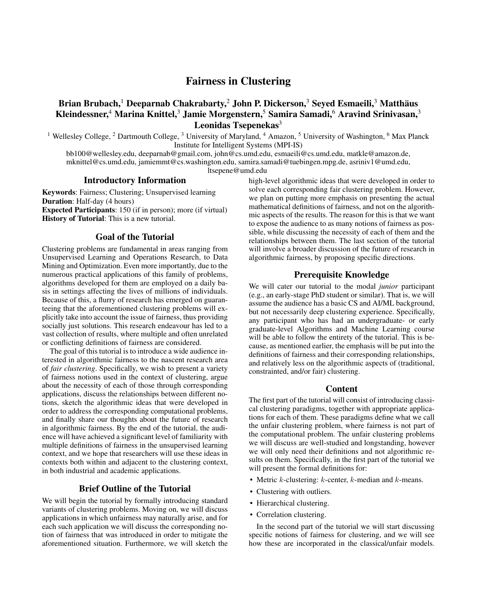# Fairness in Clustering

## Brian Brubach,<sup>1</sup> Deeparnab Chakrabarty,<sup>2</sup> John P. Dickerson,<sup>3</sup> Seyed Esmaeili,<sup>3</sup> Matthäus Kleindessner,<sup>4</sup> Marina Knittel,<sup>3</sup> Jamie Morgenstern,<sup>5</sup> Samira Samadi,<sup>6</sup> Aravind Srinivasan,<sup>3</sup> Leonidas Tsepenekas $3$

<sup>1</sup> Wellesley College,  ${}^{2}$  Dartmouth College,  ${}^{3}$  University of Maryland,  ${}^{4}$  Amazon,  ${}^{5}$  University of Washington,  ${}^{6}$  Max Planck Institute for Intelligent Systems (MPI-IS)

bb100@wellesley.edu, deeparnab@gmail.com, john@cs.umd.edu, esmaeili@cs.umd.edu, matkle@amazon.de, mknittel@cs.umd.edu, jamiemmt@cs.washington.edu, samira.samadi@tuebingen.mpg.de, asriniv1@umd.edu, ltsepene@umd.edu

#### Introductory Information

Keywords: Fairness; Clustering; Unsupervised learning Duration: Half-day (4 hours) Expected Participants: 150 (if in person); more (if virtual)

History of Tutorial: This is a new tutorial.

### Goal of the Tutorial

Clustering problems are fundamental in areas ranging from Unsupervised Learning and Operations Research, to Data Mining and Optimization. Even more importantly, due to the numerous practical applications of this family of problems, algorithms developed for them are employed on a daily basis in settings affecting the lives of millions of individuals. Because of this, a flurry of research has emerged on guaranteeing that the aforementioned clustering problems will explicitly take into account the issue of fairness, thus providing socially just solutions. This research endeavour has led to a vast collection of results, where multiple and often unrelated or conflicting definitions of fairness are considered.

The goal of this tutorial is to introduce a wide audience interested in algorithmic fairness to the nascent research area of *fair clustering*. Specifically, we wish to present a variety of fairness notions used in the context of clustering, argue about the necessity of each of those through corresponding applications, discuss the relationships between different notions, sketch the algorithmic ideas that were developed in order to address the corresponding computational problems, and finally share our thoughts about the future of research in algorithmic fairness. By the end of the tutorial, the audience will have achieved a significant level of familiarity with multiple definitions of fairness in the unsupervised learning context, and we hope that researchers will use these ideas in contexts both within and adjacent to the clustering context, in both industrial and academic applications.

#### Brief Outline of the Tutorial

We will begin the tutorial by formally introducing standard variants of clustering problems. Moving on, we will discuss applications in which unfairness may naturally arise, and for each such application we will discuss the corresponding notion of fairness that was introduced in order to mitigate the aforementioned situation. Furthermore, we will sketch the

high-level algorithmic ideas that were developed in order to solve each corresponding fair clustering problem. However, we plan on putting more emphasis on presenting the actual mathematical definitions of fairness, and not on the algorithmic aspects of the results. The reason for this is that we want to expose the audience to as many notions of fairness as possible, while discussing the necessity of each of them and the relationships between them. The last section of the tutorial will involve a broader discussion of the future of research in algorithmic fairness, by proposing specific directions.

#### Prerequisite Knowledge

We will cater our tutorial to the modal *junior* participant (e.g., an early-stage PhD student or similar). That is, we will assume the audience has a basic CS and AI/ML background, but not necessarily deep clustering experience. Specifically, any participant who has had an undergraduate- or early graduate-level Algorithms and Machine Learning course will be able to follow the entirety of the tutorial. This is because, as mentioned earlier, the emphasis will be put into the definitions of fairness and their corresponding relationships, and relatively less on the algorithmic aspects of (traditional, constrainted, and/or fair) clustering.

#### Content

The first part of the tutorial will consist of introducing classical clustering paradigms, together with appropriate applications for each of them. These paradigms define what we call the unfair clustering problem, where fairness is not part of the computational problem. The unfair clustering problems we will discuss are well-studied and longstanding, however we will only need their definitions and not algorithmic results on them. Specifically, in the first part of the tutorial we will present the formal definitions for:

- Metric  $k$ -clustering:  $k$ -center,  $k$ -median and  $k$ -means.
- Clustering with outliers.
- Hierarchical clustering.
- Correlation clustering.

In the second part of the tutorial we will start discussing specific notions of fairness for clustering, and we will see how these are incorporated in the classical/unfair models.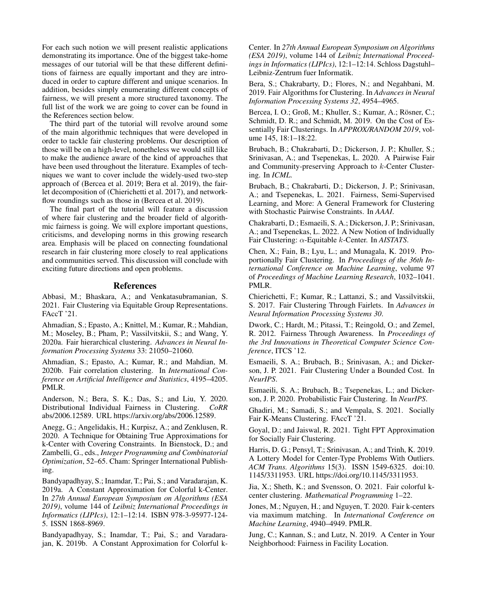For each such notion we will present realistic applications demonstrating its importance. One of the biggest take-home messages of our tutorial will be that these different definitions of fairness are equally important and they are introduced in order to capture different and unique scenarios. In addition, besides simply enumerating different concepts of fairness, we will present a more structured taxonomy. The full list of the work we are going to cover can be found in the References section below.

The third part of the tutorial will revolve around some of the main algorithmic techniques that were developed in order to tackle fair clustering problems. Our description of those will be on a high-level, nonetheless we would still like to make the audience aware of the kind of approaches that have been used throughout the literature. Examples of techniques we want to cover include the widely-used two-step approach of (Bercea et al. 2019; Bera et al. 2019), the fairlet decomposition of (Chierichetti et al. 2017), and networkflow roundings such as those in (Bercea et al. 2019).

The final part of the tutorial will feature a discussion of where fair clustering and the broader field of algorithmic fairness is going. We will explore important questions, criticisms, and developing norms in this growing research area. Emphasis will be placed on connecting foundational research in fair clustering more closely to real applications and communities served. This discussion will conclude with exciting future directions and open problems.

### References

Abbasi, M.; Bhaskara, A.; and Venkatasubramanian, S. 2021. Fair Clustering via Equitable Group Representations. FAccT '21.

Ahmadian, S.; Epasto, A.; Knittel, M.; Kumar, R.; Mahdian, M.; Moseley, B.; Pham, P.; Vassilvitskii, S.; and Wang, Y. 2020a. Fair hierarchical clustering. *Advances in Neural Information Processing Systems* 33: 21050–21060.

Ahmadian, S.; Epasto, A.; Kumar, R.; and Mahdian, M. 2020b. Fair correlation clustering. In *International Conference on Artificial Intelligence and Statistics*, 4195–4205. PMLR.

Anderson, N.; Bera, S. K.; Das, S.; and Liu, Y. 2020. Distributional Individual Fairness in Clustering. *CoRR* abs/2006.12589. URL https://arxiv.org/abs/2006.12589.

Anegg, G.; Angelidakis, H.; Kurpisz, A.; and Zenklusen, R. 2020. A Technique for Obtaining True Approximations for k-Center with Covering Constraints. In Bienstock, D.; and Zambelli, G., eds., *Integer Programming and Combinatorial Optimization*, 52–65. Cham: Springer International Publishing.

Bandyapadhyay, S.; Inamdar, T.; Pai, S.; and Varadarajan, K. 2019a. A Constant Approximation for Colorful k-Center. In *27th Annual European Symposium on Algorithms (ESA 2019)*, volume 144 of *Leibniz International Proceedings in Informatics (LIPIcs)*, 12:1–12:14. ISBN 978-3-95977-124- 5. ISSN 1868-8969.

Bandyapadhyay, S.; Inamdar, T.; Pai, S.; and Varadarajan, K. 2019b. A Constant Approximation for Colorful k-

Center. In *27th Annual European Symposium on Algorithms (ESA 2019)*, volume 144 of *Leibniz International Proceedings in Informatics (LIPIcs)*, 12:1–12:14. Schloss Dagstuhl– Leibniz-Zentrum fuer Informatik.

Bera, S.; Chakrabarty, D.; Flores, N.; and Negahbani, M. 2019. Fair Algorithms for Clustering. In *Advances in Neural Information Processing Systems 32*, 4954–4965.

Bercea, I. O.; Groß, M.; Khuller, S.; Kumar, A.; Rösner, C.; Schmidt, D. R.; and Schmidt, M. 2019. On the Cost of Essentially Fair Clusterings. In *APPROX/RANDOM 2019*, volume 145, 18:1–18:22.

Brubach, B.; Chakrabarti, D.; Dickerson, J. P.; Khuller, S.; Srinivasan, A.; and Tsepenekas, L. 2020. A Pairwise Fair and Community-preserving Approach to k-Center Clustering. In *ICML*.

Brubach, B.; Chakrabarti, D.; Dickerson, J. P.; Srinivasan, A.; and Tsepenekas, L. 2021. Fairness, Semi-Supervised Learning, and More: A General Framework for Clustering with Stochastic Pairwise Constraints. In *AAAI*.

Chakrabarti, D.; Esmaeili, S. A.; Dickerson, J. P.; Srinivasan, A.; and Tsepenekas, L. 2022. A New Notion of Individually Fair Clustering: α-Equitable k-Center. In *AISTATS*.

Chen, X.; Fain, B.; Lyu, L.; and Munagala, K. 2019. Proportionally Fair Clustering. In *Proceedings of the 36th International Conference on Machine Learning*, volume 97 of *Proceedings of Machine Learning Research*, 1032–1041. PMLR.

Chierichetti, F.; Kumar, R.; Lattanzi, S.; and Vassilvitskii, S. 2017. Fair Clustering Through Fairlets. In *Advances in Neural Information Processing Systems 30*.

Dwork, C.; Hardt, M.; Pitassi, T.; Reingold, O.; and Zemel, R. 2012. Fairness Through Awareness. In *Proceedings of the 3rd Innovations in Theoretical Computer Science Conference*, ITCS '12.

Esmaeili, S. A.; Brubach, B.; Srinivasan, A.; and Dickerson, J. P. 2021. Fair Clustering Under a Bounded Cost. In *NeurIPS*.

Esmaeili, S. A.; Brubach, B.; Tsepenekas, L.; and Dickerson, J. P. 2020. Probabilistic Fair Clustering. In *NeurIPS*.

Ghadiri, M.; Samadi, S.; and Vempala, S. 2021. Socially Fair K-Means Clustering. FAccT '21.

Goyal, D.; and Jaiswal, R. 2021. Tight FPT Approximation for Socially Fair Clustering.

Harris, D. G.; Pensyl, T.; Srinivasan, A.; and Trinh, K. 2019. A Lottery Model for Center-Type Problems With Outliers. *ACM Trans. Algorithms* 15(3). ISSN 1549-6325. doi:10. 1145/3311953. URL https://doi.org/10.1145/3311953.

Jia, X.; Sheth, K.; and Svensson, O. 2021. Fair colorful kcenter clustering. *Mathematical Programming* 1–22.

Jones, M.; Nguyen, H.; and Nguyen, T. 2020. Fair k-centers via maximum matching. In *International Conference on Machine Learning*, 4940–4949. PMLR.

Jung, C.; Kannan, S.; and Lutz, N. 2019. A Center in Your Neighborhood: Fairness in Facility Location.